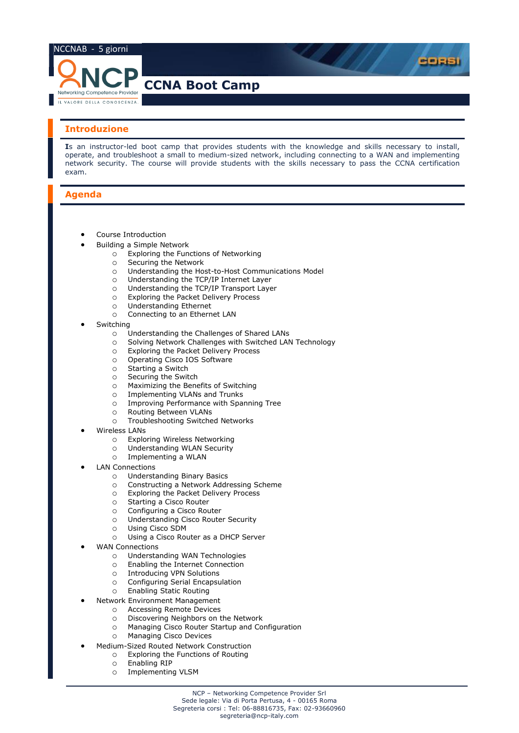

# **Introduzione**

**I**s an instructor-led boot camp that provides students with the knowledge and skills necessary to install, operate, and troubleshoot a small to medium-sized network, including connecting to a WAN and implementing network security. The course will provide students with the skills necessary to pass the CCNA certification exam.

## **Agenda**

- Course Introduction
- Building a Simple Network
	- o Exploring the Functions of Networking
	- o Securing the Network
	- o Understanding the Host-to-Host Communications Model
	- o Understanding the TCP/IP Internet Layer
	- o Understanding the TCP/IP Transport Layer
	- o Exploring the Packet Delivery Process
	- o Understanding Ethernet
	- o Connecting to an Ethernet LAN
- Switching
	- o Understanding the Challenges of Shared LANs
	- o Solving Network Challenges with Switched LAN Technology
	- o Exploring the Packet Delivery Process
	- o Operating Cisco IOS Software
	- o Starting a Switch
	- o Securing the Switch
	- o Maximizing the Benefits of Switching
	- o Implementing VLANs and Trunks
	- o Improving Performance with Spanning Tree
	- o Routing Between VLANs
	- o Troubleshooting Switched Networks
- Wireless LANs
	- o Exploring Wireless Networking
	- o Understanding WLAN Security
	- o Implementing a WLAN
- LAN Connections
	- o Understanding Binary Basics
	- o Constructing a Network Addressing Scheme
	- o Exploring the Packet Delivery Process
	- o Starting a Cisco Router
	- o Configuring a Cisco Router
	- o Understanding Cisco Router Security
	- o Using Cisco SDM
	- o Using a Cisco Router as a DHCP Server
- WAN Connections
	- o Understanding WAN Technologies
	- o Enabling the Internet Connection
	- o Introducing VPN Solutions
	- o Configuring Serial Encapsulation
	- o Enabling Static Routing
- Network Environment Management
	- o Accessing Remote Devices
	- o Discovering Neighbors on the Network
	- o Managing Cisco Router Startup and Configuration
	- o Managing Cisco Devices
- Medium-Sized Routed Network Construction
	- o Exploring the Functions of Routing
		- o Enabling RIP
		- o Implementing VLSM